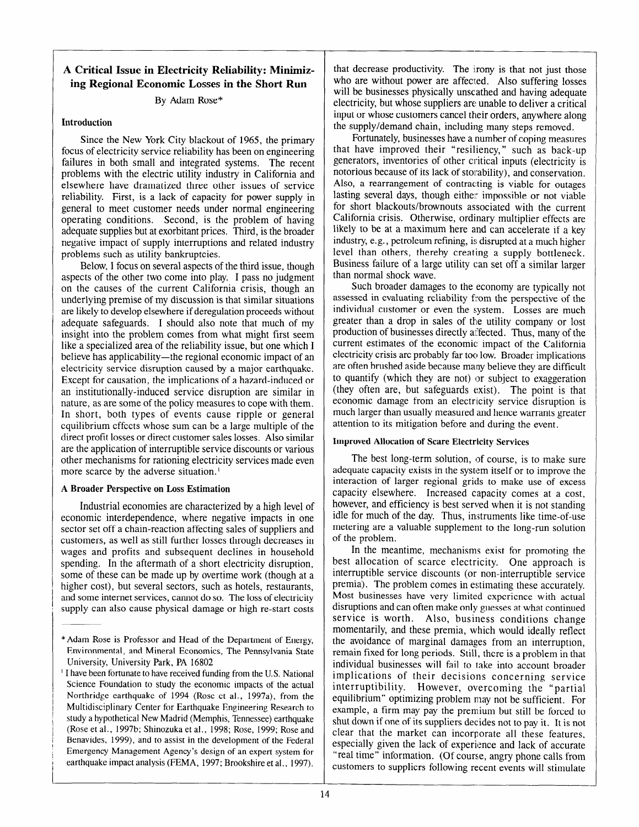# **A Critical Issue in Electricity Reliability: Minimizing Regional Economic Losses in the Short Run**

### By Adam Rose\*

#### **Introduction**

Since the New York City blackout of 1965, the primary focus of electricity service reliability has been on engineering failures in both small and integrated systems. The recent problems with the electric utility industry in California and elsewhere have dramatized three other issues of service reliability. First, is a lack of capacity for power supply in general to meet customer needs under normal engineering operating conditions. Second, is the problem of having adequate supplies but at exorbitant prices. Third, is the broader negative impact of supply interruptions and related industry problems such as utility bankruptcies.

Below, I focus on several aspects of the third issue, though aspects of the other two come into play. I pass no judgment on the causes of the current California crisis, though an underlying premise of my discussion is that similar situations are likely to develop elsewhere if deregulation proceeds without adequate safeguards. I should also note that much of my insight into the problem comes from what might first seem like a specialized area of the reliability issue, but one which I believe has applicability—the regional economic impact of an electricity service disruption caused by a major earthquake. Except for causation, the implications of a hazard-induced or an institutionally-induced service disruption are similar in nature, as are some of the policy measures to cope with them. In short, both types of events cause ripple or general equilibrium effects whose sum can be a large multiple of the direct profit losses or direct customer sales losses. Also similar are the application of interruptible service discounts or various other mechanisms for rationing electricity services made even more scarce by the adverse situation.'

## **A Broader Perspective on Loss Estimation**

Industrial economies are characterized by a high level of economic interdependence, where negative impacts in one sector set off a chain-reaction affecting sales of suppliers and customers, as well as still further losses through decreases in wages and profits and subsequent declines in household spending. In the aftermath of a short electricity disruption, some of these can be made up by overtime work (though at a higher cost), but several sectors, such as hotels, restaurants, and some internet services, cannot do so. The loss of electricity supply can also cause physical damage or high re-start costs

that decrease productivity. The irony is that not just those who are without power are affected. Also suffering losses will be businesses physically unscathed and having adequate electricity, but whose suppliers are unable to deliver a critical input or whose customers cancel their orders, anywhere along the supply/demand chain, including many steps removed.

Fortunately, businesses have a number of coping measures that have improved their "resiliency," such as back-up generators, inventories of other critical inputs (electricity is notorious because of its lack of storability), and conservation. Also, a rearrangement of contracting is viable for outages lasting several days, though either impossible or not viable for short blackouts/brownouts associated with the current California crisis. Otherwise, ordinary multiplier effects are likely to be at a maximum here and can accelerate if a key industry, e.g., petroleum refining, is disrupted at a much higher level than others, thereby creating a supply bottleneck. Business failure of a large utility can set off a similar larger than normal shock wave.

Such broader damages to the economy are typically not assessed in evaluating reliability firom the perspective of the individual customer or even the system. Losses are much greater than a drop in sales of the utility company or lost production of businesses directly affected. Thus, many of the current estimates of the economic: impact of the California electricity crisis are probably far too low. Broader implications are often brushed aside because many believe they are difficult to quantify (which they are not) or subject to exaggeration (they often are, but safeguards exist). The point is that economic damage from an electricity service disruption is much larger than usually measured and hence warrants greater attention to its mitigation before and during the event.

## **Improved Allocation of Scare Electricity Services**

The best long-term solution, of course, is to make sure adequate capacity exists in the system itself or to improve the interaction of larger regional grids to make use of excess capacity elsewhere. Increased capacity comes at a cost, however, and efficiency is best served when it is not standing idle for much of the day. Thus, instruments like time-of-use metering are a valuable supplement to the long-run solution of the problem.

In the meantime, mechanisms exist for promoting the best allocation of scarce electricity. One approach is interruptible service discounts (or non-interruptible service premia). The problem comes in estimating these accurately. Most businesses have very limited experience with actual disruptions and can often make only guesses at what continued service is worth. Also, business conditions change momentarily, and these premia, which would ideally reflect the avoidance of marginal damages from an interruption, remain fixed for long periods. Still, there is a problem in that individual businesses will fail to take into account broader implications of their decisions concerning service interruptibility. However, overcoming the "partial equilibrium" optimizing problem may not be sufficient. For example, a firm may pay the premium but still be forced to shut down if one of its suppliers decides not to pay it. It is not clear that the market can incorporate all these features, especially given the lack of experience and lack of accurate "real time" information. (Of course, angry phone calls from customers to suppliers following recent events will stimulate

<sup>\*</sup>Adam Rose is Professor and Head of the Department of Energy, Environmental, and Mineral Economics, The Pennsylvania State University, University Park, PA 16802

<sup>&#</sup>x27; I have been fortunate to have received funding from the U.S. National Science Foundation to study the economic impacts of the actual Northridge earthquake of 1994 (Rose et al., 1997a), from the Multidisciplinary Center for Earthquake Engineering Research to study a hypothetical New Madrid (Memphis, Tennessee) earthquake (Rose et al., 1997b; Shinozuka et al., 1998; Rose, 1999; Rose and Benavides, 1999), and to assist in the development of the Federal Emergency Management Agency's design of an expert system for earthquake impact analysis (FEMA, 1997; Brookshire et al., 1997).